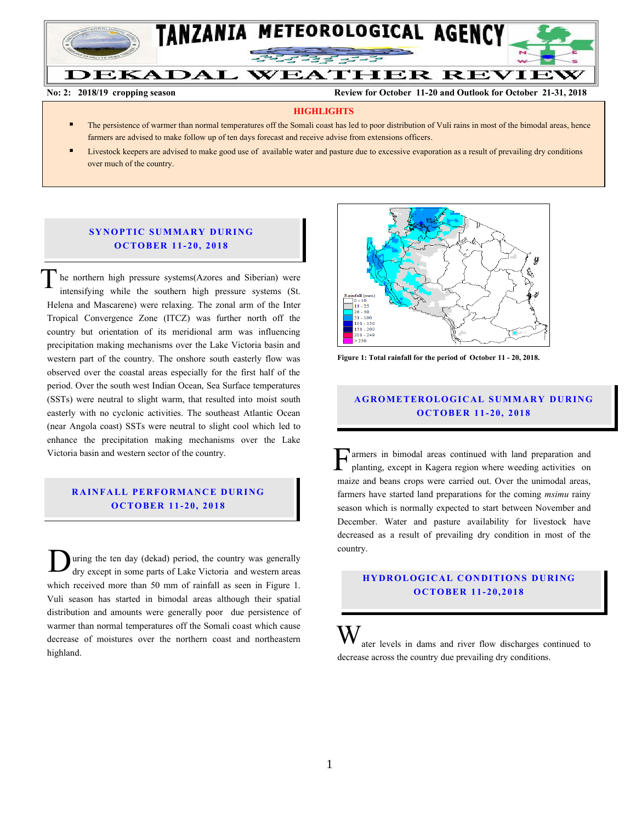

**No: 2: 2018/19 cropping season Review for October 11-20 and Outlook for October 21-31, 2018**

#### **HIGHLIGHTS**

- The persistence of warmer than normal temperatures off the Somali coast has led to poor distribution of Vuli rains in most of the bimodal areas, hence farmers are advised to make follow up of ten days forecast and receive advise from extensions officers.
- Livestock keepers are advised to make good use of available water and pasture due to excessive evaporation as a result of prevailing dry conditions over much of the country.

#### **SYNOPTIC SUMMARY DURING O CTO BER 11- 20, 201 8**

he northern high pressure systems(Azores and Siberian) were intensifying while the southern high pressure systems (St. Helena and Mascarene) were relaxing. The zonal arm of the Inter Tropical Convergence Zone (ITCZ) was further north off the country but orientation of its meridional arm was influencing precipitation making mechanisms over the Lake Victoria basin and western part of the country. The onshore south easterly flow was observed over the coastal areas especially for the first half of the period. Over the south west Indian Ocean, Sea Surface temperatures (SSTs) were neutral to slight warm, that resulted into moist south easterly with no cyclonic activities. The southeast Atlantic Ocean (near Angola coast) SSTs were neutral to slight cool which led to enhance the precipitation making mechanisms over the Lake Victoria basin and western sector of the country.  $\overline{\overline{T}}$ 

# **RAINFALL PERFORMANCE DURING O C TO BER 11- 20, 2018**

uring the ten day (dekad) period, the country was generally dry except in some parts of Lake Victoria and western areas which received more than 50 mm of rainfall as seen in Figure 1. Vuli season has started in bimodal areas although their spatial distribution and amounts were generally poor due persistence of warmer than normal temperatures off the Somali coast which cause decrease of moistures over the northern coast and northeastern highland. D



**Figure 1: Total rainfall for the period of October 11 - 20, 2018.**

# **A G RO METER O LO G IC AL SU MMAR Y DU R IN G O C TO BER 1 1- 20, 2018**

armers in bimodal areas continued with land preparation and planting, except in Kagera region where weeding activities on **F** armers in bimodal areas continued with land preparation and planting, except in Kagera region where weeding activities on maize and beans crops were carried out. Over the unimodal areas, farmers have started land preparations for the coming *msimu* rainy season which is normally expected to start between November and December. Water and pasture availability for livestock have decreased as a result of prevailing dry condition in most of the country.

# **HY DR O LOG IC A L C ON DITIO N S DU RING O C TO BER 11- 20, 2018**

ater levels in dams and river flow discharges continued to decrease across the country due prevailing dry conditions. W